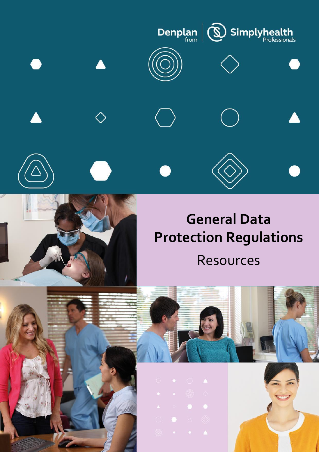



# **General Data Protection Regulations** Resources



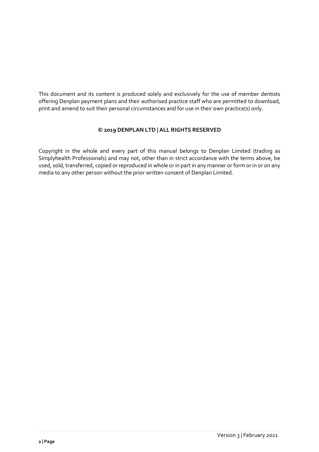This document and its content is produced solely and exclusively for the use of member dentists offering Denplan payment plans and their authorised practice staff who are permitted to download, print and amend to suit their personal circumstances and for use in their own practice(s) only.

# **© 2019 DENPLAN LTD | ALL RIGHTS RESERVED**

Copyright in the whole and every part of this manual belongs to Denplan Limited (trading as Simplyhealth Professionals) and may not, other than in strict accordance with the terms above, be used, sold, transferred, copied or reproduced in whole or in part in any manner or form or in or on any media to any other person without the prior written consent of Denplan Limited.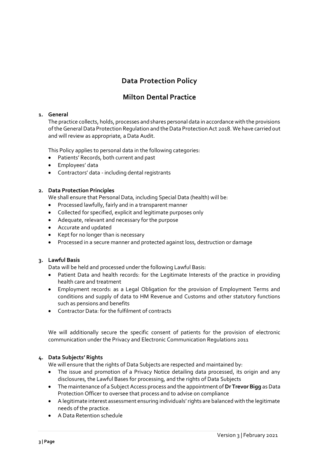# **Data Protection Policy**

# **Milton Dental Practice**

# **1. General**

The practice collects, holds, processes and shares personal data in accordance with the provisions of the General Data Protection Regulation and the Data Protection Act 2018. We have carried out and will review as appropriate, a Data Audit.

This Policy applies to personal data in the following categories:

- Patients' Records, both current and past
- Employees' data
- Contractors' data including dental registrants

# **2. Data Protection Principles**

We shall ensure that Personal Data, including Special Data (health) will be:

- Processed lawfully, fairly and in a transparent manner
- Collected for specified, explicit and legitimate purposes only
- Adequate, relevant and necessary for the purpose
- Accurate and updated
- Kept for no longer than is necessary
- Processed in a secure manner and protected against loss, destruction or damage

# **3. Lawful Basis**

Data will be held and processed under the following Lawful Basis:

- Patient Data and health records: for the Legitimate Interests of the practice in providing health care and treatment
- Employment records: as a Legal Obligation for the provision of Employment Terms and conditions and supply of data to HM Revenue and Customs and other statutory functions such as pensions and benefits
- Contractor Data: for the fulfilment of contracts

We will additionally secure the specific consent of patients for the provision of electronic communication under the Privacy and Electronic Communication Regulations 2011

# **4. Data Subjects' Rights**

We will ensure that the rights of Data Subjects are respected and maintained by:

- The issue and promotion of a Privacy Notice detailing data processed, its origin and any disclosures, the Lawful Bases for processing, and the rights of Data Subjects
- The maintenance of a Subject Access process and the appointment of**Dr Trevor Bigg** as Data Protection Officer to oversee that process and to advise on compliance
- A legitimate interest assessment ensuring individuals' rights are balanced with the legitimate needs of the practice.
- A Data Retention schedule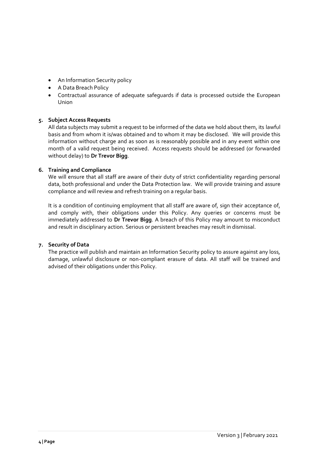- An Information Security policy
- A Data Breach Policy
- Contractual assurance of adequate safeguards if data is processed outside the European Union

# **5. Subject Access Requests**

All data subjects may submit a request to be informed of the data we hold about them, its lawful basis and from whom it is/was obtained and to whom it may be disclosed. We will provide this information without charge and as soon as is reasonably possible and in any event within one month of a valid request being received. Access requests should be addressed (or forwarded without delay) to **Dr Trevor Bigg**.

# **6. Training and Compliance**

We will ensure that all staff are aware of their duty of strict confidentiality regarding personal data, both professional and under the Data Protection law. We will provide training and assure compliance and will review and refresh training on a regular basis.

It is a condition of continuing employment that all staff are aware of, sign their acceptance of, and comply with, their obligations under this Policy. Any queries or concerns must be immediately addressed to **Dr Trevor Bigg**. A breach of this Policy may amount to misconduct and result in disciplinary action. Serious or persistent breaches may result in dismissal.

# **7. Security of Data**

The practice will publish and maintain an Information Security policy to assure against any loss, damage, unlawful disclosure or non-compliant erasure of data. All staff will be trained and advised of their obligations under this Policy.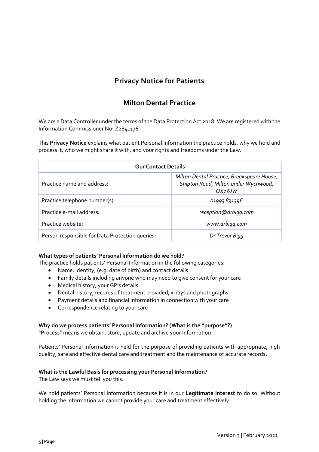# **Privacy Notice for Patients**

# **Milton Dental Practice**

We are a Data Controller under the terms of the Data Protection Act 2018. We are registered with the Information Commissioner No: Z2841176*.*

This **Privacy Notice** explains what patient Personal Information the practice holds, why we hold and process it, who we might share it with, and your rights and freedoms under the Law.

| <b>Our Contact Details</b>                      |                                                                                                           |
|-------------------------------------------------|-----------------------------------------------------------------------------------------------------------|
| Practice name and address:                      | Milton Dental Practice, Breakspeare House,<br>Shipton Road, Milton under Wychwood,<br>OX <sub>7</sub> GJW |
| Practice telephone number(s):                   | 01993 831396                                                                                              |
| Practice e-mail address:                        | reception@drbigg.com                                                                                      |
| Practice website:                               | www.drbigg.com                                                                                            |
| Person responsible for Data Protection queries: | Dr Trevor Bigg                                                                                            |

# **What types of patients' Personal Information do we hold?**

The practice holds patients' Personal Information in the following categories:

- Name, identity, (e.g. date of birth) and contact details
- Family details including anyone who may need to give consent for your care
- Medical history, your GP's details
- Dental history, records of treatment provided, x-rays and photographs
- Payment details and financial information in connection with your care
- Correspondence relating to your care

# **Why do we process patients' Personal Information? (What is the "purpose"?)**

"Process" means we obtain, store, update and archive your Information.

Patients' Personal Information is held for the purpose of providing patients with appropriate, high quality, safe and effective dental care and treatment and the maintenance of accurate records.

### **What is the Lawful Basis for processing your Personal Information?**

The Law says we must tell you this.

We hold patients' Personal Information because it is in our **Legitimate Interest** to do so. Without holding the information we cannot provide your care and treatment effectively.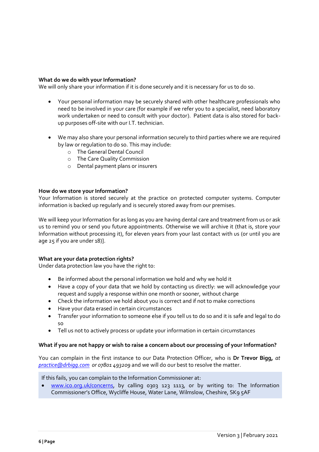# **What do we do with your Information?**

We will only share your information if it is done securely and it is necessary for us to do so.

- Your personal information may be securely shared with other healthcare professionals who need to be involved in your care (for example if we refer you to a specialist, need laboratory work undertaken or need to consult with your doctor). Patient data is also stored for backup purposes off-site with our I.T. technician.
- We may also share your personal information securely to third parties where we are required by law or regulation to do so. This may include:
	- o The General Dental Council
	- o The Care Quality Commission
	- o Dental payment plans or insurers

### **How do we store your Information?**

Your Information is stored securely at the practice on protected computer systems. Computer information is backed up regularly and is securely stored away from our premises.

We will keep your Information for as long as you are having dental care and treatment from us or ask us to remind you or send you future appointments. Otherwise we will archive it (that is, store your Information without processing it), for eleven years from your last contact with us (or until you are age 25 if you are under 18)].

### **What are your data protection rights?**

Under data protection law you have the right to:

- Be informed about the personal information we hold and why we hold it
- Have a copy of your data that we hold by contacting us directly: we will acknowledge your request and supply a response within one month or sooner, without charge
- Check the information we hold about you is correct and if not to make corrections
- Have your data erased in certain circumstances
- Transfer your information to someone else if you tell us to do so and it is safe and legal to do so
- Tell us not to actively process or update your information in certain circumstances

### **What if you are not happy or wish to raise a concern about our processing of your Information?**

You can complain in the first instance to our Data Protection Officer, who is **Dr Trevor Bigg,** *at [practice@drbigg.com](mailto:practice@drbigg.com) or 07801 493209* and we will do our best to resolve the matter.

If this fails, you can complain to the Information Commissioner at:

• [www.ico.org.uk/concerns,](http://www.ico.org.uk/concerns) by calling 0303 123 1113, or by writing to: The Information Commissioner's Office, Wycliffe House, Water Lane, Wilmslow, Cheshire, SK9 5AF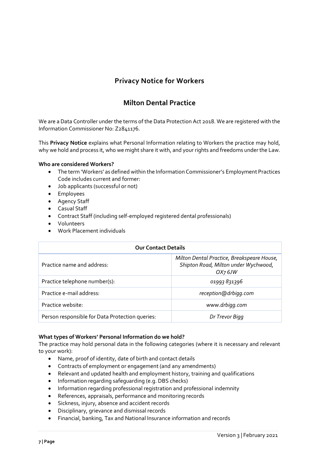# **Privacy Notice for Workers**

# **Milton Dental Practice**

We are a Data Controller under the terms of the Data Protection Act 2018. We are registered with the Information Commissioner No: Z2841176.

This **Privacy Notice** explains what Personal Information relating to Workers the practice may hold, why we hold and process it, who we might share it with, and your rights and freedoms under the Law.

# **Who are considered Workers?**

- The term 'Workers' as defined within the Information Commissioner's Employment Practices Code includes current and former:
- Job applicants (successful or not)
- Employees
- Agency Staff
- Casual Staff
- Contract Staff (including self-employed registered dental professionals)
- Volunteers
- Work Placement individuals

| <b>Our Contact Details</b>                      |                                                                                                           |
|-------------------------------------------------|-----------------------------------------------------------------------------------------------------------|
| Practice name and address:                      | Milton Dental Practice, Breakspeare House,<br>Shipton Road, Milton under Wychwood,<br>OX <sub>7</sub> GJW |
| Practice telephone number(s):                   | 01993 831396                                                                                              |
| Practice e-mail address:                        | reception@drbigg.com                                                                                      |
| Practice website:                               | www.drbigg.com                                                                                            |
| Person responsible for Data Protection queries: | Dr Trevor Bigg                                                                                            |

### **What types of Workers' Personal Information do we hold?**

The practice may hold personal data in the following categories (where it is necessary and relevant to your work):

- Name, proof of identity, date of birth and contact details
- Contracts of employment or engagement (and any amendments)
- Relevant and updated health and employment history, training and qualifications
- Information regarding safeguarding (e.g. DBS checks)
- Information regarding professional registration and professional indemnity
- References, appraisals, performance and monitoring records
- Sickness, injury, absence and accident records
- Disciplinary, grievance and dismissal records
- Financial, banking, Tax and National Insurance information and records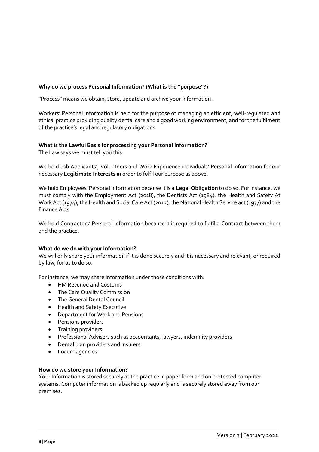# **Why do we process Personal Information? (What is the "purpose"?)**

"Process" means we obtain, store, update and archive your Information.

Workers' Personal Information is held for the purpose of managing an efficient, well-regulated and ethical practice providing quality dental care and a good working environment, and for the fulfilment of the practice's legal and regulatory obligations.

# **What is the Lawful Basis for processing your Personal Information?**

The Law says we must tell you this.

We hold Job Applicants', Volunteers and Work Experience individuals' Personal Information for our necessary **Legitimate Interests** in order to fulfil our purpose as above.

We hold Employees' Personal Information because it is a **Legal Obligation** to do so. For instance, we must comply with the Employment Act (2018), the Dentists Act (1984), the Health and Safety At Work Act (1974), the Health and Social Care Act (2012), the National Health Service act (1977) and the Finance Acts.

We hold Contractors' Personal Information because it is required to fulfil a **Contract** between them and the practice.

### **What do we do with your Information?**

We will only share your information if it is done securely and it is necessary and relevant, or required by law, for us to do so.

For instance, we may share information under those conditions with:

- HM Revenue and Customs
- The Care Quality Commission
- The General Dental Council
- Health and Safety Executive
- Department for Work and Pensions
- Pensions providers
- Training providers
- Professional Advisers such as accountants, lawyers, indemnity providers
- Dental plan providers and insurers
- Locum agencies

### **How do we store your Information?**

Your Information is stored securely at the practice in paper form and on protected computer systems. Computer information is backed up regularly and is securely stored away from our premises.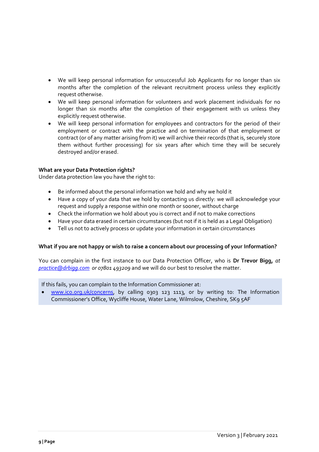- We will keep personal information for unsuccessful Job Applicants for no longer than six months after the completion of the relevant recruitment process unless they explicitly request otherwise.
- We will keep personal information for volunteers and work placement individuals for no longer than six months after the completion of their engagement with us unless they explicitly request otherwise.
- We will keep personal information for employees and contractors for the period of their employment or contract with the practice and on termination of that employment or contract (or of any matter arising from it) we will archive their records (that is, securely store them without further processing) for six years after which time they will be securely destroyed and/or erased.

# **What are your Data Protection rights?**

Under data protection law you have the right to:

- Be informed about the personal information we hold and why we hold it
- Have a copy of your data that we hold by contacting us directly: we will acknowledge your request and supply a response within one month or sooner, without charge
- Check the information we hold about you is correct and if not to make corrections
- Have your data erased in certain circumstances (but not if it is held as a Legal Obligation)
- Tell us not to actively process or update your information in certain circumstances

### **What if you are not happy or wish to raise a concern about our processing of your Information?**

You can complain in the first instance to our Data Protection Officer, who is **Dr Trevor Bigg,** *at [practice@drbigg.com](mailto:practice@drbigg.com) or 07801 493209* and we will do our best to resolve the matter.

If this fails, you can complain to the Information Commissioner at:

• [www.ico.org.uk/concerns,](http://www.ico.org.uk/concerns) by calling 0303 123 1113, or by writing to: The Information Commissioner's Office, Wycliffe House, Water Lane, Wilmslow, Cheshire, SK9 5AF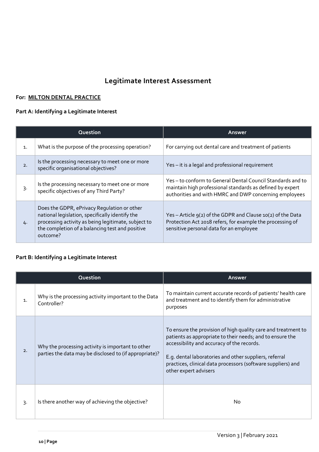# **Legitimate Interest Assessment**

# **For: MILTON DENTAL PRACTICE**

# **Part A: Identifying a Legitimate Interest**

|                | Question                                                                                                                                                                                                             | <b>Answer</b>                                                                                                                                                                    |
|----------------|----------------------------------------------------------------------------------------------------------------------------------------------------------------------------------------------------------------------|----------------------------------------------------------------------------------------------------------------------------------------------------------------------------------|
| $\mathbf{1}$ . | What is the purpose of the processing operation?                                                                                                                                                                     | For carrying out dental care and treatment of patients                                                                                                                           |
| 2.             | Is the processing necessary to meet one or more<br>specific organisational objectives?                                                                                                                               | Yes - it is a legal and professional requirement                                                                                                                                 |
| 3.             | Is the processing necessary to meet one or more<br>specific objectives of any Third Party?                                                                                                                           | Yes-to conform to General Dental Council Standards and to<br>maintain high professional standards as defined by expert<br>authorities and with HMRC and DWP concerning employees |
| 4.             | Does the GDPR, ePrivacy Regulation or other<br>national legislation, specifically identify the<br>processing activity as being legitimate, subject to<br>the completion of a balancing test and positive<br>outcome? | Yes - Article $g(z)$ of the GDPR and Clause 10(2) of the Data<br>Protection Act 2018 refers, for example the processing of<br>sensitive personal data for an employee            |

# **Part B: Identifying a Legitimate Interest**

|                | Question                                                                                                    | Answer                                                                                                                                                                                                                                                                                                                      |
|----------------|-------------------------------------------------------------------------------------------------------------|-----------------------------------------------------------------------------------------------------------------------------------------------------------------------------------------------------------------------------------------------------------------------------------------------------------------------------|
| $\mathbf{1}$ . | Why is the processing activity important to the Data<br>Controller?                                         | To maintain current accurate records of patients' health care<br>and treatment and to identify them for administrative<br>purposes                                                                                                                                                                                          |
| 2.             | Why the processing activity is important to other<br>parties the data may be disclosed to (if appropriate)? | To ensure the provision of high quality care and treatment to<br>patients as appropriate to their needs; and to ensure the<br>accessibility and accuracy of the records.<br>E.g. dental laboratories and other suppliers, referral<br>practices, clinical data processors (software suppliers) and<br>other expert advisers |
| $3 -$          | Is there another way of achieving the objective?                                                            | No                                                                                                                                                                                                                                                                                                                          |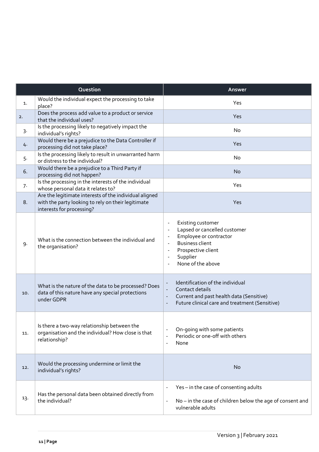| Question |                                                                                                                                           | Answer                                                                                                                                                                                                                      |  |
|----------|-------------------------------------------------------------------------------------------------------------------------------------------|-----------------------------------------------------------------------------------------------------------------------------------------------------------------------------------------------------------------------------|--|
| 1.       | Would the individual expect the processing to take<br>place?                                                                              | Yes                                                                                                                                                                                                                         |  |
| 2.       | Does the process add value to a product or service<br>that the individual uses?                                                           | Yes                                                                                                                                                                                                                         |  |
| 3.       | Is the processing likely to negatively impact the<br>individual's rights?                                                                 | No                                                                                                                                                                                                                          |  |
| 4.       | Would there be a prejudice to the Data Controller if<br>processing did not take place?                                                    | Yes                                                                                                                                                                                                                         |  |
| 5.       | Is the processing likely to result in unwarranted harm<br>or distress to the individual?                                                  | No                                                                                                                                                                                                                          |  |
| 6.       | Would there be a prejudice to a Third Party if<br>processing did not happen?                                                              | <b>No</b>                                                                                                                                                                                                                   |  |
| 7.       | Is the processing in the interests of the individual<br>whose personal data it relates to?                                                | Yes                                                                                                                                                                                                                         |  |
| 8.       | Are the legitimate interests of the individual aligned<br>with the party looking to rely on their legitimate<br>interests for processing? | Yes                                                                                                                                                                                                                         |  |
| 9.       | What is the connection between the individual and<br>the organisation?                                                                    | Existing customer<br>Lapsed or cancelled customer<br>Employee or contractor<br><b>Business client</b><br>Prospective client<br>$\overline{\phantom{a}}$<br>Supplier<br>None of the above                                    |  |
| 10.      | What is the nature of the data to be processed? Does<br>data of this nature have any special protections<br>under GDPR                    | Identification of the individual<br>$\blacksquare$<br>Contact details<br>$\Box$<br>Current and past health data (Sensitive)<br>$\blacksquare$<br>Future clinical care and treatment (Sensitive)<br>$\overline{\phantom{a}}$ |  |
| 11.      | Is there a two-way relationship between the<br>organisation and the individual? How close is that<br>relationship?                        | On-going with some patients<br>$\overline{a}$<br>Periodic or one-off with others<br>$\overline{a}$<br>None<br>$\overline{\phantom{a}}$                                                                                      |  |
| 12.      | Would the processing undermine or limit the<br>individual's rights?                                                                       | <b>No</b>                                                                                                                                                                                                                   |  |
| 13.      | Has the personal data been obtained directly from<br>the individual?                                                                      | Yes - in the case of consenting adults<br>$\overline{a}$<br>No - in the case of children below the age of consent and<br>$\overline{\phantom{a}}$<br>vulnerable adults                                                      |  |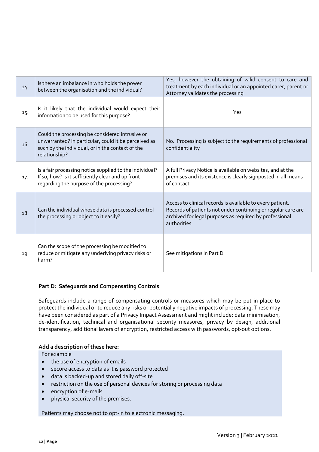| 14. | Is there an imbalance in who holds the power<br>between the organisation and the individual?                                                                                 | Yes, however the obtaining of valid consent to care and<br>treatment by each individual or an appointed carer, parent or<br>Attorney validates the processing                                       |
|-----|------------------------------------------------------------------------------------------------------------------------------------------------------------------------------|-----------------------------------------------------------------------------------------------------------------------------------------------------------------------------------------------------|
| 15. | Is it likely that the individual would expect their<br>information to be used for this purpose?                                                                              | Yes                                                                                                                                                                                                 |
| 16. | Could the processing be considered intrusive or<br>unwarranted? In particular, could it be perceived as<br>such by the individual, or in the context of the<br>relationship? | No. Processing is subject to the requirements of professional<br>confidentiality                                                                                                                    |
| 17. | Is a fair processing notice supplied to the individual?<br>If so, how? Is it sufficiently clear and up front<br>regarding the purpose of the processing?                     | A full Privacy Notice is available on websites, and at the<br>premises and its existence is clearly signposted in all means<br>of contact                                                           |
| 18. | Can the individual whose data is processed control<br>the processing or object to it easily?                                                                                 | Access to clinical records is available to every patient.<br>Records of patients not under continuing or regular care are<br>archived for legal purposes as required by professional<br>authorities |
| 19. | Can the scope of the processing be modified to<br>reduce or mitigate any underlying privacy risks or<br>harm?                                                                | See mitigations in Part D                                                                                                                                                                           |

# **Part D: Safeguards and Compensating Controls**

Safeguards include a range of compensating controls or measures which may be put in place to protect the individual or to reduce any risks or potentially negative impacts of processing. These may have been considered as part of a Privacy Impact Assessment and might include: data minimisation, de-identification, technical and organisational security measures, privacy by design, additional transparency, additional layers of encryption, restricted access with passwords, opt-out options.

# **Add a description of these here:**

For example

- the use of encryption of emails
- secure access to data as it is password protected
- data is backed-up and stored daily off-site
- restriction on the use of personal devices for storing or processing data
- encryption of e-mails
- physical security of the premises.

Patients may choose not to opt-in to electronic messaging.